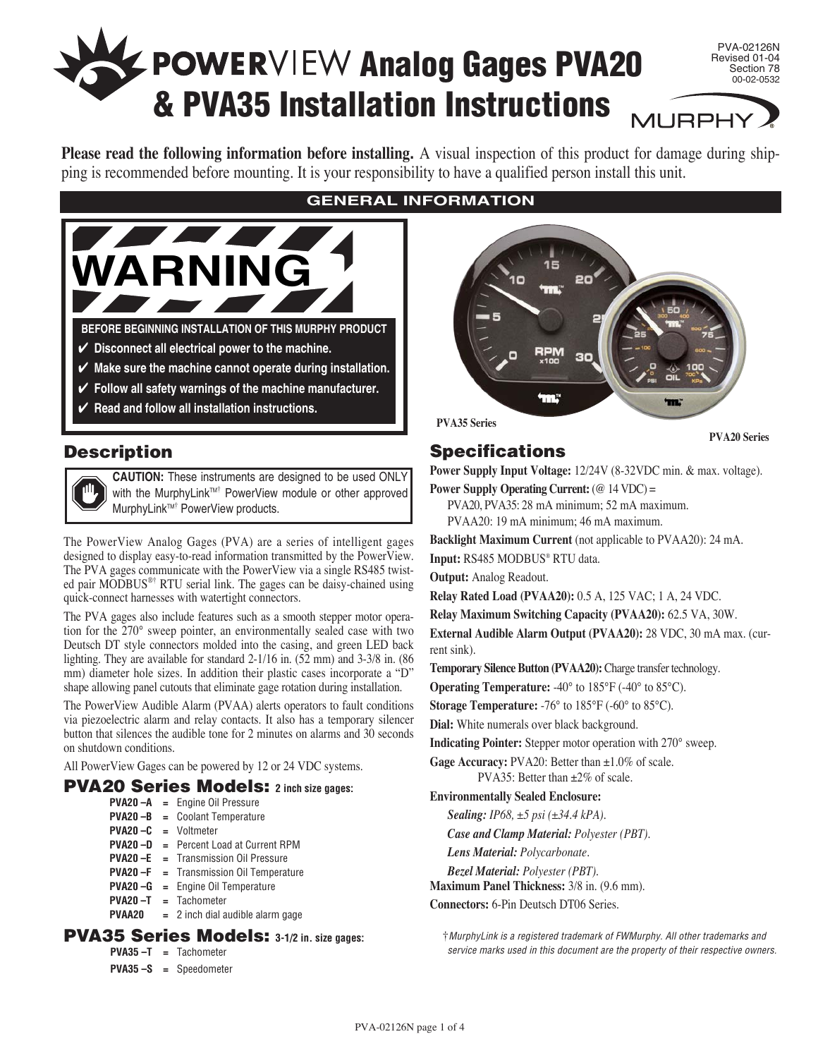# **Analog Gages PVA20 & PVA35 Installation Instructions**

PVA-02126N Revised 01-04 Section 78 00-02-0532

**MURPHY** 

**Please read the following information before installing.** A visual inspection of this product for damage during shipping is recommended before mounting. It is your responsibility to have a qualified person install this unit.



# **Description**

**CAUTION:** These instruments are designed to be used ONLY with the MurphyLink™<sup>†</sup> PowerView module or other approved MurphyLink<sup>™†</sup> PowerView products.

The PowerView Analog Gages (PVA) are a series of intelligent gages designed to display easy-to-read information transmitted by the PowerView. The PVA gages communicate with the PowerView via a single RS485 twisted pair MODBUS®† RTU serial link. The gages can be daisy-chained using quick-connect harnesses with watertight connectors.

The PVA gages also include features such as a smooth stepper motor operation for the 270° sweep pointer, an environmentally sealed case with two Deutsch DT style connectors molded into the casing, and green LED back lighting. They are available for standard 2-1/16 in. (52 mm) and 3-3/8 in. (86 mm) diameter hole sizes. In addition their plastic cases incorporate a "D" shape allowing panel cutouts that eliminate gage rotation during installation.

The PowerView Audible Alarm (PVAA) alerts operators to fault conditions via piezoelectric alarm and relay contacts. It also has a temporary silencer button that silences the audible tone for 2 minutes on alarms and 30 seconds on shutdown conditions.

All PowerView Gages can be powered by 12 or 24 VDC systems.

## **PVA20 Series Models: 2 inch size gages:**

- **PVA20 –A =** Engine Oil Pressure **PVA20 –B =** Coolant Temperature
- **PVA20 –C =** Voltmeter
- **PVA20 –D =** Percent Load at Current RPM
- **PVA20 –E =** Transmission Oil Pressure
- **PVA20 –F =** Transmission Oil Temperature
- **PVA20 –G =** Engine Oil Temperature
- **PVA20 –T =** Tachometer
- **PVAA20 =** 2 inch dial audible alarm gage

## **PVA35 Series Models: 3-1/2 in. size gages:**

- **PVA35 –T =** Tachometer
- **PVA35 –S =** Speedometer

## **GENERAL INFORMATION**



**PVA35 Series**

**PVA20 Series**

## **Specifications**

**Power Supply Input Voltage:** 12/24V (8-32VDC min. & max. voltage).

**Power Supply Operating Current:** (@ 14 VDC) =

PVA20, PVA35: 28 mA minimum; 52 mA maximum.

PVAA20: 19 mA minimum; 46 mA maximum.

**Backlight Maximum Current** (not applicable to PVAA20): 24 mA.

**Input:** RS485 MODBUS® RTU data.

**Output:** Analog Readout.

**Relay Rated Load (PVAA20):** 0.5 A, 125 VAC; 1 A, 24 VDC.

**Relay Maximum Switching Capacity (PVAA20):** 62.5 VA, 30W.

**External Audible Alarm Output (PVAA20):** 28 VDC, 30 mA max. (current sink).

**Temporary Silence Button (PVAA20):** Charge transfer technology.

**Operating Temperature:** -40° to 185°F (-40° to 85°C).

**Storage Temperature:** -76° to 185°F (-60° to 85°C).

**Dial:** White numerals over black background.

**Indicating Pointer:** Stepper motor operation with 270° sweep.

Gage Accuracy: PVA20: Better than  $\pm 1.0\%$  of scale. PVA35: Better than ±2% of scale.

#### **Environmentally Sealed Enclosure:**

*Sealing: IP68, ±5 psi (±34.4 kPA).*

*Case and Clamp Material: Polyester (PBT).*

- *Lens Material: Polycarbonate.*
- *Bezel Material: Polyester (PBT).*

**Maximum Panel Thickness:** 3/8 in. (9.6 mm).

**Connectors:** 6-Pin Deutsch DT06 Series.

†MurphyLink is a registered trademark of FWMurphy. All other trademarks and service marks used in this document are the property of their respective owners.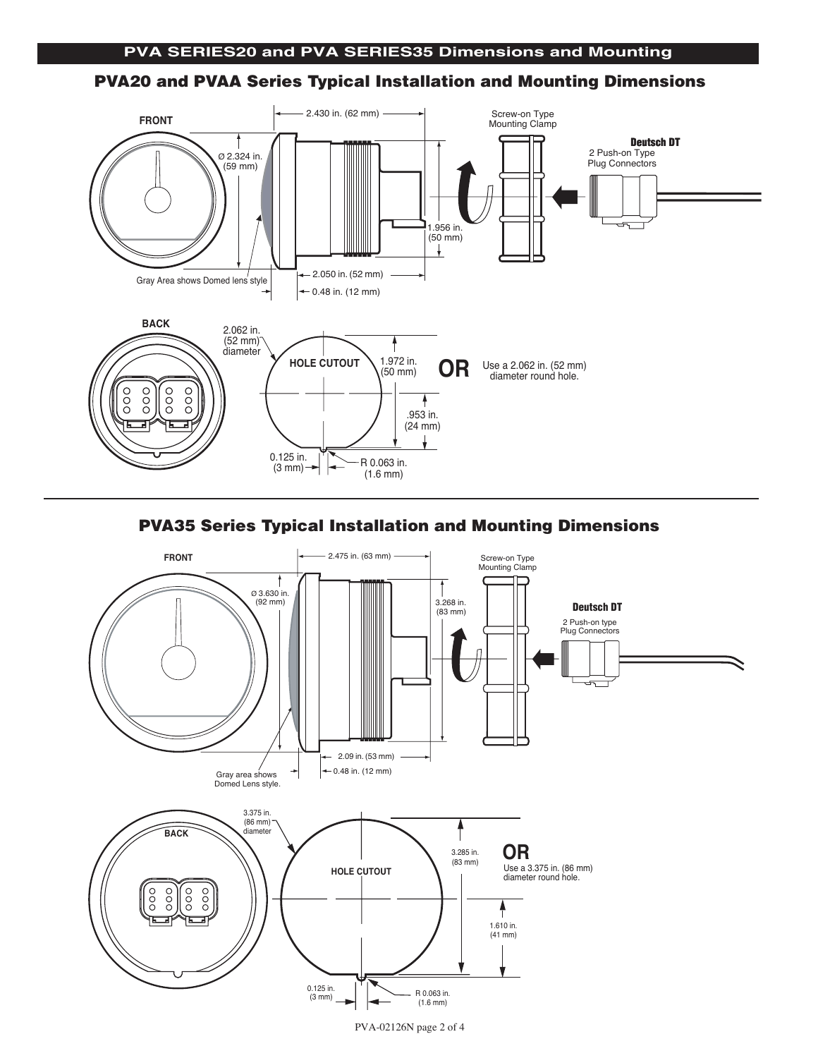#### **PVA20 and PVAA Series Typical Installation and Mounting Dimensions**



## **PVA35 Series Typical Installation and Mounting Dimensions**



PVA-02126N page 2 of 4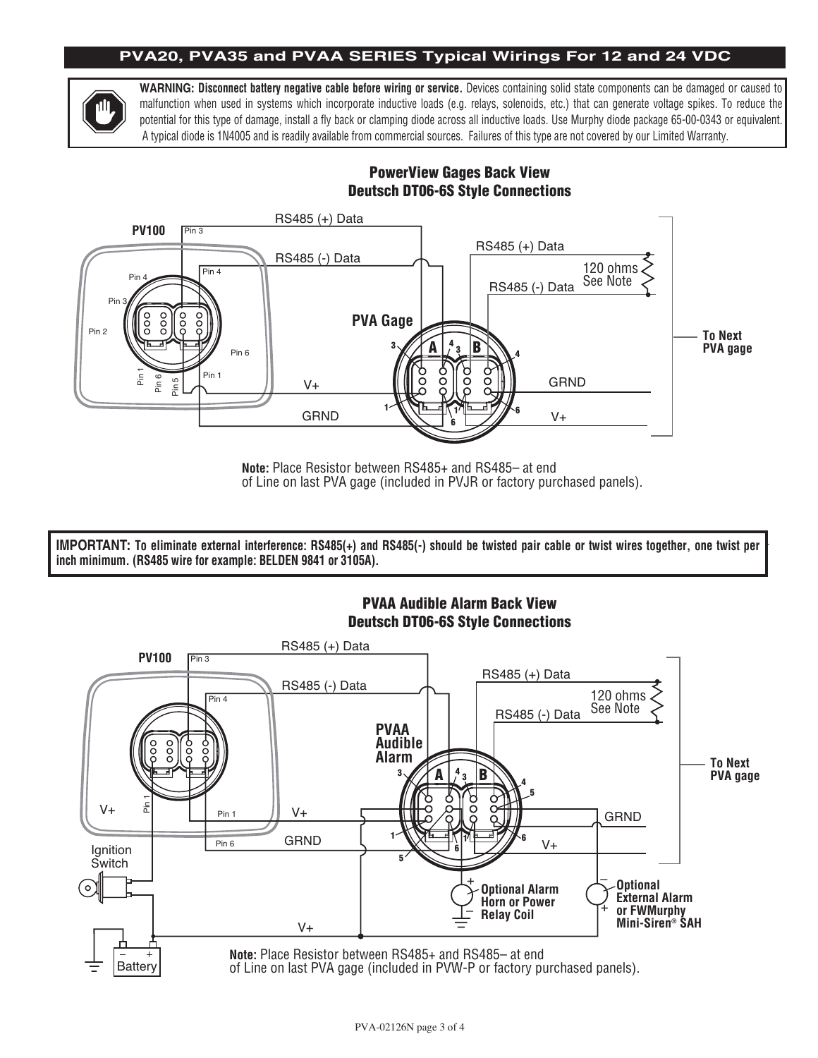#### **PVA20, PVA35 and PVAA SERIES Typical Wirings For 12 and 24 VDC**



**WARNING: Disconnect battery negative cable before wiring or service.** Devices containing solid state components can be damaged or caused to malfunction when used in systems which incorporate inductive loads (e.g. relays, solenoids, etc.) that can generate voltage spikes. To reduce the potential for this type of damage, install a fly back or clamping diode across all inductive loads. Use Murphy diode package 65-00-0343 or equivalent. .<br>A typical diode is 1N4005 and is readily available from commercial sources. Failures of this type are not covered by our Limited Warranty.

#### **PowerView Gages Back View Deutsch DT06-6S Style Connections**



**Note:** Place Resistor between RS485+ and RS485– at end of Line on last PVA gage (included in PVJR or factory purchased panels).

**IMPORTANT: To eliminate external interference: RS485(+) and RS485(-) should be twisted pair cable or twist wires together, one twist per inch minimum. (RS485 wire for example: BELDEN 9841 or 3105A).**